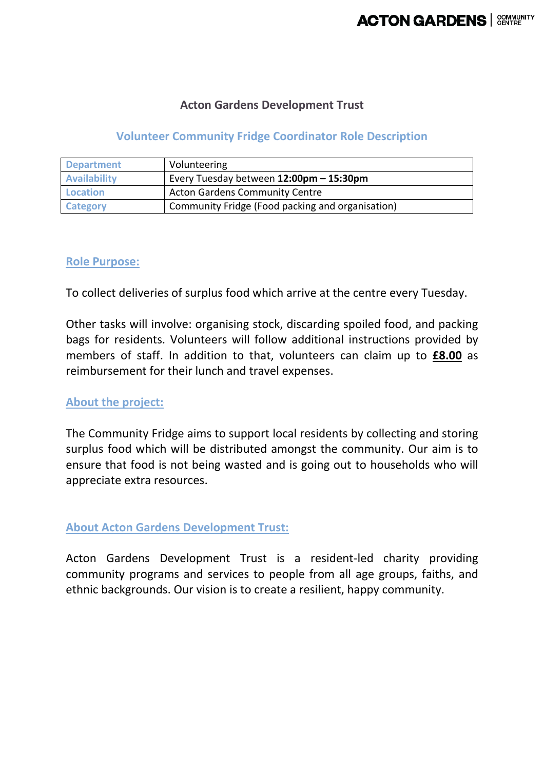## **Acton Gardens Development Trust**

# **Volunteer Community Fridge Coordinator Role Description**

| <b>Department</b>   | Volunteering                                     |
|---------------------|--------------------------------------------------|
| <b>Availability</b> | Every Tuesday between 12:00pm - 15:30pm          |
| <b>Location</b>     | <b>Acton Gardens Community Centre</b>            |
| Category            | Community Fridge (Food packing and organisation) |

## **Role Purpose:**

To collect deliveries of surplus food which arrive at the centre every Tuesday.

Other tasks will involve: organising stock, discarding spoiled food, and packing bags for residents. Volunteers will follow additional instructions provided by members of staff. In addition to that, volunteers can claim up to **£8.00** as reimbursement for their lunch and travel expenses.

#### **About the project:**

The Community Fridge aims to support local residents by collecting and storing surplus food which will be distributed amongst the community. Our aim is to ensure that food is not being wasted and is going out to households who will appreciate extra resources.

#### **About Acton Gardens Development Trust:**

Acton Gardens Development Trust is a resident-led charity providing community programs and services to people from all age groups, faiths, and ethnic backgrounds. Our vision is to create a resilient, happy community.